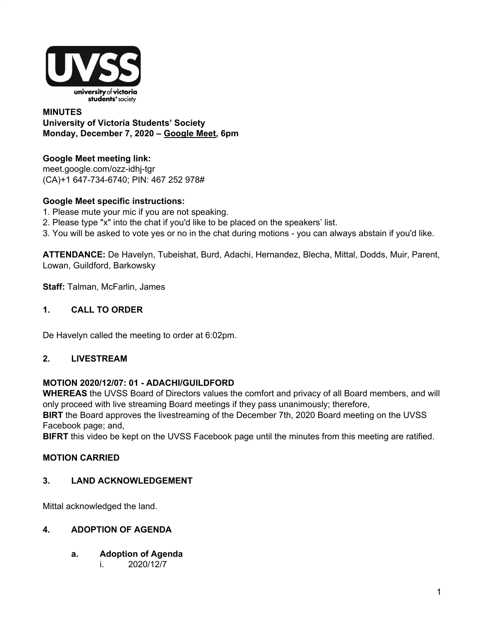

### **MINUTES University of Victoria Students' Society Monday, December 7, 2020 – [Google](http://meet.google.com/ozz-idhj-tgr) Meet, 6pm**

# **Google Meet meeting link[:](https://us02web.zoom.us/j/84726203931?pwd=bGNKTElKZEFIWkNvRlY2TFBqb3dQUT09)**

[meet.google.com/ozz-idhj-tgr](https://meet.google.com/ozz-idhj-tgr?hs=122&authuser=2) (CA)+1 647-734-6740; PIN: 467 252 978#

## **Google Meet specific instructions:**

- 1. Please mute your mic if you are not speaking.
- 2. Please type "x" into the chat if you'd like to be placed on the speakers' list.
- 3. You will be asked to vote yes or no in the chat during motions you can always abstain if you'd like.

**ATTENDANCE:** De Havelyn, Tubeishat, Burd, Adachi, Hernandez, Blecha, Mittal, Dodds, Muir, Parent, Lowan, Guildford, Barkowsky

**Staff:** Talman, McFarlin, James

## **1. CALL TO ORDER**

De Havelyn called the meeting to order at 6:02pm.

## **2. LIVESTREAM**

## **MOTION 2020/12/07: 01 - ADACHI/GUILDFORD**

**WHEREAS** the UVSS Board of Directors values the comfort and privacy of all Board members, and will only proceed with live streaming Board meetings if they pass unanimously; therefore,

**BIRT** the Board approves the livestreaming of the December 7th, 2020 Board meeting on the UVSS Facebook page; and,

**BIFRT** this video be kept on the UVSS Facebook page until the minutes from this meeting are ratified.

## **MOTION CARRIED**

## **3. LAND ACKNOWLEDGEMENT**

Mittal acknowledged the land.

## **4. ADOPTION OF AGENDA**

- **a. Adoption of Agenda**
	- i. 2020/12/7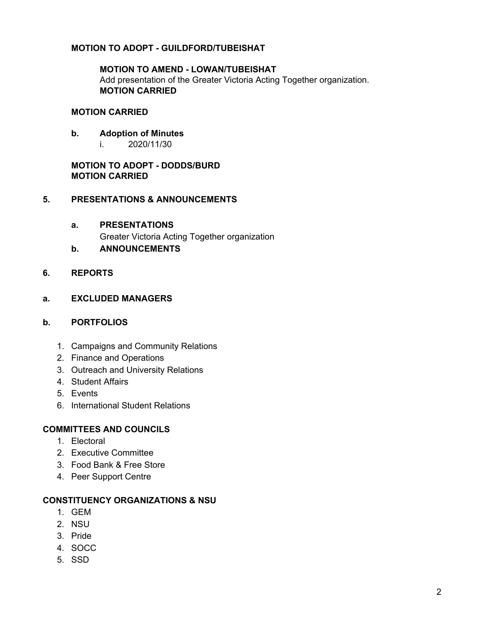## **MOTION TO ADOPT - GUILDFORD/TUBEISHAT**

### **MOTION TO AMEND - LOWAN/TUBEISHAT** Add presentation of the Greater Victoria Acting Together organization. **MOTION CARRIED**

#### **MOTION CARRIED**

#### **b. Adoption of Minutes**

i. 2020/11/30

### **MOTION TO ADOPT - DODDS/BURD MOTION CARRIED**

### **5. PRESENTATIONS & ANNOUNCEMENTS**

#### **a. PRESENTATIONS**

Greater Victoria Acting Together organization

### **b. ANNOUNCEMENTS**

### **6. REPORTS**

#### **a. EXCLUDED MANAGERS**

#### **b. PORTFOLIOS**

- 1. Campaigns and Community Relations
- 2. Finance and Operations
- 3. Outreach and University Relations
- 4. Student Affairs
- 5. Events
- 6. International Student Relations

### **COMMITTEES AND COUNCILS**

- 1. Electoral
- 2. Executive Committee
- 3. Food Bank & Free Store
- 4. Peer Support Centre

#### **CONSTITUENCY ORGANIZATIONS & NSU**

- 1. GEM
- 2. NSU
- 3. Pride
- 4. SOCC
- 5. SSD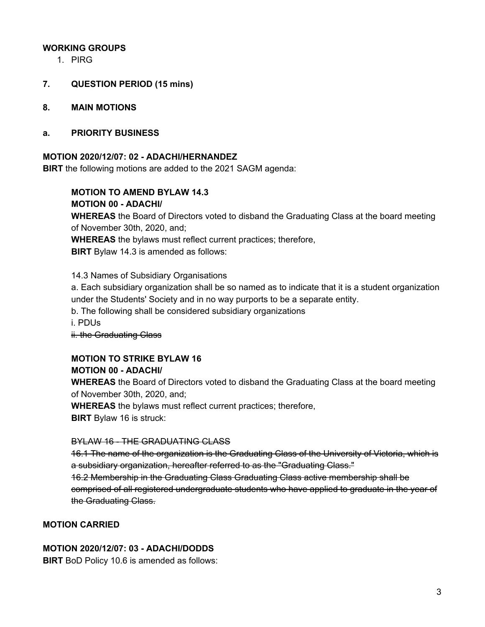### **WORKING GROUPS**

1. PIRG

### **7. QUESTION PERIOD (15 mins)**

**8. MAIN MOTIONS**

#### **a. PRIORITY BUSINESS**

#### **MOTION 2020/12/07: 02 - ADACHI/HERNANDEZ**

**BIRT** the following motions are added to the 2021 SAGM agenda:

**MOTION TO AMEND BYLAW 14.3**

**MOTION 00 - ADACHI/**

**WHEREAS** the Board of Directors voted to disband the Graduating Class at the board meeting of November 30th, 2020, and;

**WHEREAS** the bylaws must reflect current practices; therefore,

**BIRT** Bylaw 14.3 is amended as follows:

14.3 Names of Subsidiary Organisations

a. Each subsidiary organization shall be so named as to indicate that it is a student organization under the Students' Society and in no way purports to be a separate entity.

b. The following shall be considered subsidiary organizations

i. PDUs

ii. the Graduating Class

# **MOTION TO STRIKE BYLAW 16**

### **MOTION 00 - ADACHI/**

**WHEREAS** the Board of Directors voted to disband the Graduating Class at the board meeting of November 30th, 2020, and;

**WHEREAS** the bylaws must reflect current practices; therefore,

**BIRT** Bylaw 16 is struck:

### BYLAW 16 - THE GRADUATING CLASS

16.1 The name of the organization is the Graduating Class of the University of Victoria, which is a subsidiary organization, hereafter referred to as the "Graduating Class."

16.2 Membership in the Graduating Class Graduating Class active membership shall be comprised of all registered undergraduate students who have applied to graduate in the year of the Graduating Class.

## **MOTION CARRIED**

### **MOTION 2020/12/07: 03 - ADACHI/DODDS**

**BIRT** BoD Policy 10.6 is amended as follows: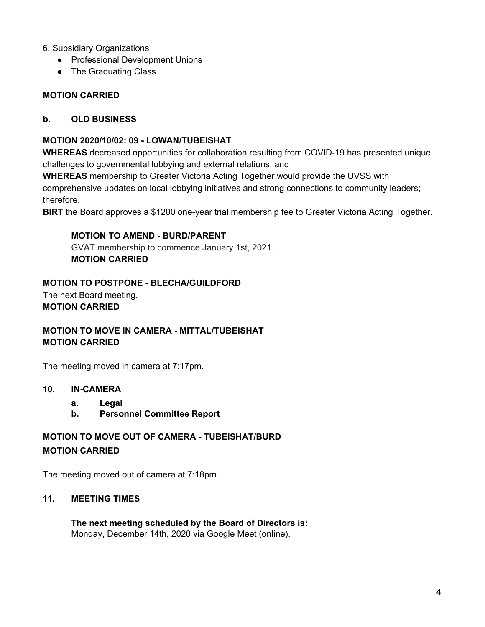### 6. Subsidiary Organizations

- Professional Development Unions
- **•** The Graduating Class

### **MOTION CARRIED**

### **b. OLD BUSINESS**

### **MOTION 2020/10/02: 09 - LOWAN/TUBEISHAT**

**WHEREAS** decreased opportunities for collaboration resulting from COVID-19 has presented unique challenges to governmental lobbying and external relations; and

**WHEREAS** membership to Greater Victoria Acting Together would provide the UVSS with comprehensive updates on local lobbying initiatives and strong connections to community leaders; therefore,

**BIRT** the Board approves a \$1200 one-year trial membership fee to Greater Victoria Acting Together.

### **MOTION TO AMEND - BURD/PARENT**

GVAT membership to commence January 1st, 2021. **MOTION CARRIED**

### **MOTION TO POSTPONE - BLECHA/GUILDFORD**

The next Board meeting. **MOTION CARRIED**

# **MOTION TO MOVE IN CAMERA - MITTAL/TUBEISHAT MOTION CARRIED**

The meeting moved in camera at 7:17pm.

### **10. IN-CAMERA**

- **a. Legal**
- **b. Personnel Committee Report**

# **MOTION TO MOVE OUT OF CAMERA - TUBEISHAT/BURD MOTION CARRIED**

The meeting moved out of camera at 7:18pm.

### **11. MEETING TIMES**

**The next meeting scheduled by the Board of Directors is:** Monday, December 14th, 2020 via Google Meet (online).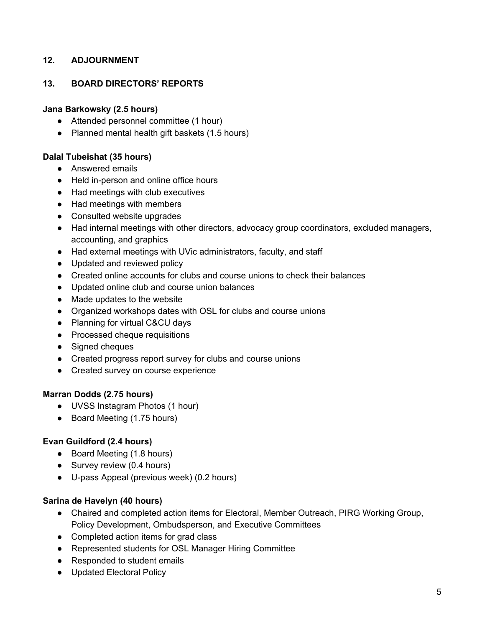## **12. ADJOURNMENT**

## **13. BOARD DIRECTORS' REPORTS**

### **Jana Barkowsky (2.5 hours)**

- Attended personnel committee (1 hour)
- Planned mental health gift baskets (1.5 hours)

### **Dalal Tubeishat (35 hours)**

- Answered emails
- Held in-person and online office hours
- Had meetings with club executives
- Had meetings with members
- Consulted website upgrades
- Had internal meetings with other directors, advocacy group coordinators, excluded managers, accounting, and graphics
- Had external meetings with UVic administrators, faculty, and staff
- Updated and reviewed policy
- Created online accounts for clubs and course unions to check their balances
- Updated online club and course union balances
- Made updates to the website
- Organized workshops dates with OSL for clubs and course unions
- Planning for virtual C&CU days
- Processed cheque requisitions
- Signed cheques
- Created progress report survey for clubs and course unions
- Created survey on course experience

### **Marran Dodds (2.75 hours)**

- UVSS Instagram Photos (1 hour)
- Board Meeting (1.75 hours)

## **Evan Guildford (2.4 hours)**

- Board Meeting (1.8 hours)
- Survey review (0.4 hours)
- U-pass Appeal (previous week) (0.2 hours)

### **Sarina de Havelyn (40 hours)**

- Chaired and completed action items for Electoral, Member Outreach, PIRG Working Group, Policy Development, Ombudsperson, and Executive Committees
- Completed action items for grad class
- Represented students for OSL Manager Hiring Committee
- Responded to student emails
- Updated Electoral Policy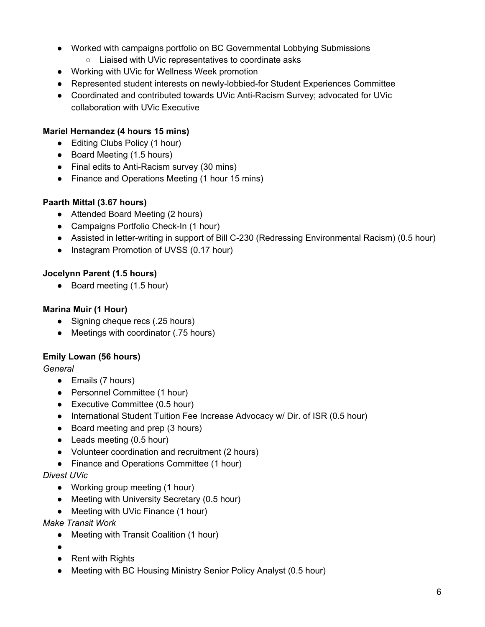- Worked with campaigns portfolio on BC Governmental Lobbying Submissions
	- Liaised with UVic representatives to coordinate asks
- Working with UVic for Wellness Week promotion
- Represented student interests on newly-lobbied-for Student Experiences Committee
- Coordinated and contributed towards UVic Anti-Racism Survey; advocated for UVic collaboration with UVic Executive

## **Mariel Hernandez (4 hours 15 mins)**

- Editing Clubs Policy (1 hour)
- Board Meeting (1.5 hours)
- Final edits to Anti-Racism survey (30 mins)
- Finance and Operations Meeting (1 hour 15 mins)

## **Paarth Mittal (3.67 hours)**

- Attended Board Meeting (2 hours)
- Campaigns Portfolio Check-In (1 hour)
- Assisted in letter-writing in support of Bill C-230 (Redressing Environmental Racism) (0.5 hour)
- Instagram Promotion of UVSS (0.17 hour)

## **Jocelynn Parent (1.5 hours)**

● Board meeting (1.5 hour)

## **Marina Muir (1 Hour)**

- Signing cheque recs (.25 hours)
- Meetings with coordinator (.75 hours)

# **Emily Lowan (56 hours)**

## *General*

- Emails (7 hours)
- Personnel Committee (1 hour)
- Executive Committee (0.5 hour)
- International Student Tuition Fee Increase Advocacy w/ Dir. of ISR (0.5 hour)
- Board meeting and prep (3 hours)
- Leads meeting (0.5 hour)
- Volunteer coordination and recruitment (2 hours)
- Finance and Operations Committee (1 hour)

## *Divest UVic*

- Working group meeting (1 hour)
- Meeting with University Secretary (0.5 hour)
- Meeting with UVic Finance (1 hour)

*Make Transit Work*

- Meeting with Transit Coalition (1 hour)
- $\bullet$
- Rent with Rights
- Meeting with BC Housing Ministry Senior Policy Analyst (0.5 hour)